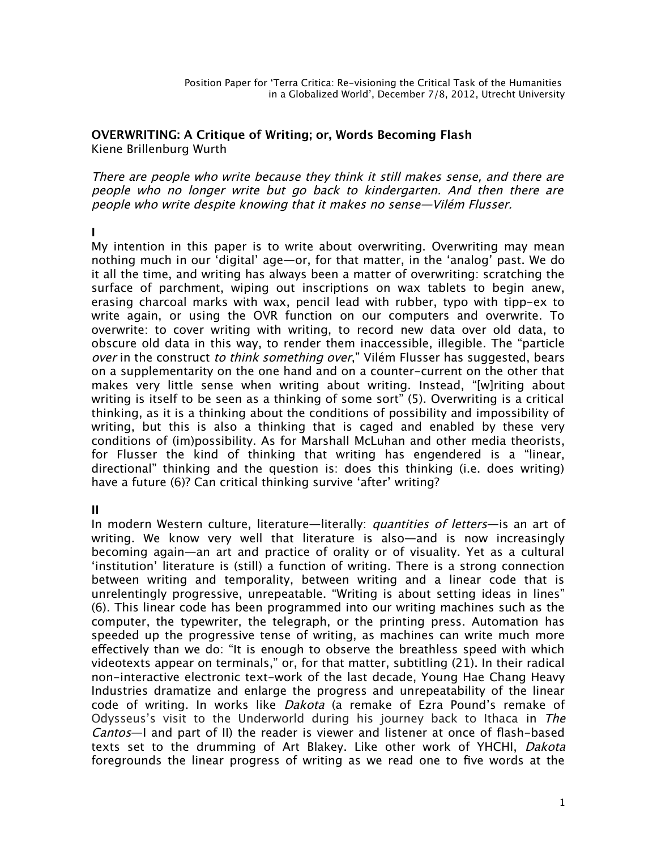#### **OVERWRITING: A Critique of Writing; or, Words Becoming Flash** Kiene Brillenburg Wurth

There are people who write because they think it still makes sense, and there are people who no longer write but go back to kindergarten. And then there are people who write despite knowing that it makes no sense—Vilém Flusser.

#### **I**

My intention in this paper is to write about overwriting. Overwriting may mean nothing much in our 'digital' age—or, for that matter, in the 'analog' past. We do it all the time, and writing has always been a matter of overwriting: scratching the surface of parchment, wiping out inscriptions on wax tablets to begin anew, erasing charcoal marks with wax, pencil lead with rubber, typo with tipp-ex to write again, or using the OVR function on our computers and overwrite. To overwrite: to cover writing with writing, to record new data over old data, to obscure old data in this way, to render them inaccessible, illegible. The "particle over in the construct to think something over," Vilém Flusser has suggested, bears on a supplementarity on the one hand and on a counter-current on the other that makes very little sense when writing about writing. Instead, "[w]riting about writing is itself to be seen as a thinking of some sort" (5). Overwriting is a critical thinking, as it is a thinking about the conditions of possibility and impossibility of writing, but this is also a thinking that is caged and enabled by these very conditions of (im)possibility. As for Marshall McLuhan and other media theorists, for Flusser the kind of thinking that writing has engendered is a "linear, directional" thinking and the question is: does this thinking (i.e. does writing) have a future (6)? Can critical thinking survive 'after' writing?

## **II**

In modern Western culture, literature—literally: *quantities of letters*—is an art of writing. We know very well that literature is also—and is now increasingly becoming again—an art and practice of orality or of visuality. Yet as a cultural 'institution' literature is (still) a function of writing. There is a strong connection between writing and temporality, between writing and a linear code that is unrelentingly progressive, unrepeatable. "Writing is about setting ideas in lines" (6). This linear code has been programmed into our writing machines such as the computer, the typewriter, the telegraph, or the printing press. Automation has speeded up the progressive tense of writing, as machines can write much more efectively than we do: "It is enough to observe the breathless speed with which videotexts appear on terminals," or, for that matter, subtitling (21). In their radical non-interactive electronic text-work of the last decade, Young Hae Chang Heavy Industries dramatize and enlarge the progress and unrepeatability of the linear code of writing. In works like Dakota (a remake of Ezra Pound's remake of Odysseus's visit to the Underworld during his journey back to Ithaca in The Cantos—I and part of II) the reader is viewer and listener at once of fash-based texts set to the drumming of Art Blakey. Like other work of YHCHI, Dakota foregrounds the linear progress of writing as we read one to five words at the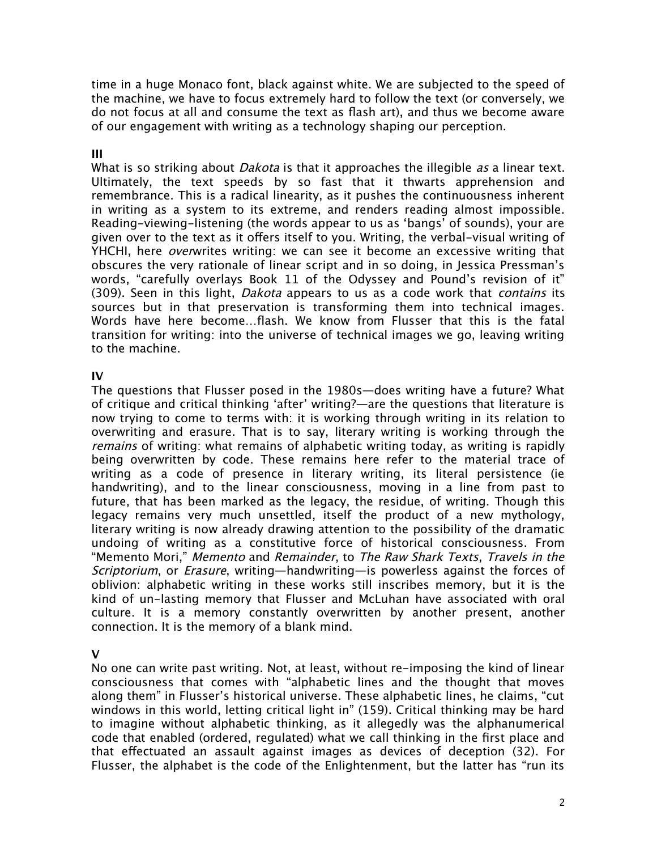time in a huge Monaco font, black against white. We are subjected to the speed of the machine, we have to focus extremely hard to follow the text (or conversely, we do not focus at all and consume the text as fash art), and thus we become aware of our engagement with writing as a technology shaping our perception.

# **III**

What is so striking about *Dakota* is that it approaches the illegible *as* a linear text. Ultimately, the text speeds by so fast that it thwarts apprehension and remembrance. This is a radical linearity, as it pushes the continuousness inherent in writing as a system to its extreme, and renders reading almost impossible. Reading-viewing-listening (the words appear to us as 'bangs' of sounds), your are given over to the text as it offers itself to you. Writing, the verbal-visual writing of YHCHI, here *overw*rites writing: we can see it become an excessive writing that obscures the very rationale of linear script and in so doing, in Jessica Pressman's words, "carefully overlays Book 11 of the Odyssey and Pound's revision of it" (309). Seen in this light, *Dakota* appears to us as a code work that *contains* its sources but in that preservation is transforming them into technical images. Words have here become…fash. We know from Flusser that this is the fatal transition for writing: into the universe of technical images we go, leaving writing to the machine.

## **IV**

The questions that Flusser posed in the 1980s—does writing have a future? What of critique and critical thinking 'after' writing?—are the questions that literature is now trying to come to terms with: it is working through writing in its relation to overwriting and erasure. That is to say, literary writing is working through the remains of writing: what remains of alphabetic writing today, as writing is rapidly being overwritten by code. These remains here refer to the material trace of writing as a code of presence in literary writing, its literal persistence (ie handwriting), and to the linear consciousness, moving in a line from past to future, that has been marked as the legacy, the residue, of writing. Though this legacy remains very much unsettled, itself the product of a new mythology, literary writing is now already drawing attention to the possibility of the dramatic undoing of writing as a constitutive force of historical consciousness. From "Memento Mori," Memento and Remainder, to The Raw Shark Texts, Travels in the Scriptorium, or Erasure, writing—handwriting—is powerless against the forces of oblivion: alphabetic writing in these works still inscribes memory, but it is the kind of un-lasting memory that Flusser and McLuhan have associated with oral culture. It is a memory constantly overwritten by another present, another connection. It is the memory of a blank mind.

## **V**

No one can write past writing. Not, at least, without re-imposing the kind of linear consciousness that comes with "alphabetic lines and the thought that moves along them" in Flusser's historical universe. These alphabetic lines, he claims, "cut windows in this world, letting critical light in" (159). Critical thinking may be hard to imagine without alphabetic thinking, as it allegedly was the alphanumerical code that enabled (ordered, regulated) what we call thinking in the frst place and that efectuated an assault against images as devices of deception (32). For Flusser, the alphabet is the code of the Enlightenment, but the latter has "run its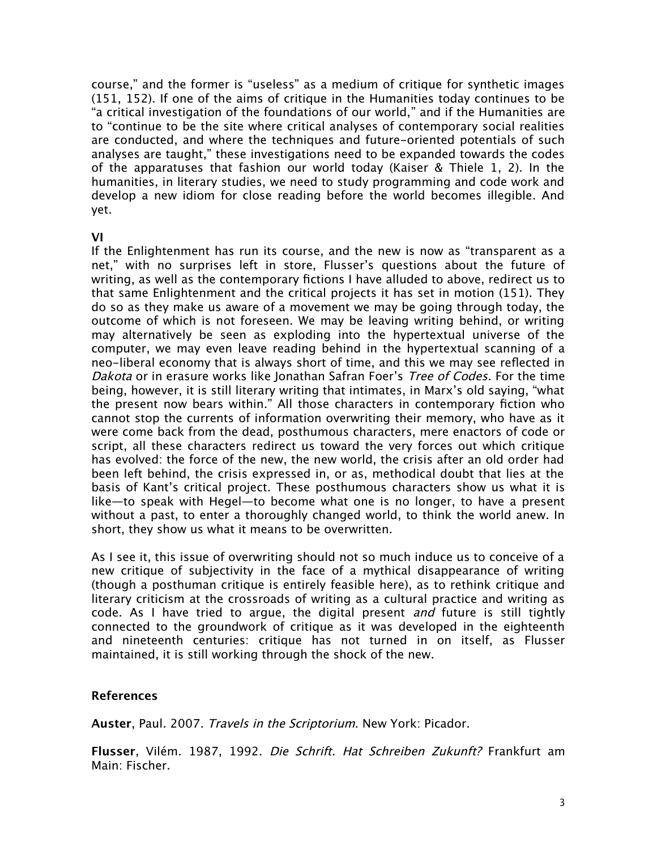course," and the former is "useless" as a medium of critique for synthetic images (151, 152). If one of the aims of critique in the Humanities today continues to be "a critical investigation of the foundations of our world," and if the Humanities are to "continue to be the site where critical analyses of contemporary social realities are conducted, and where the techniques and future-oriented potentials of such analyses are taught," these investigations need to be expanded towards the codes of the apparatuses that fashion our world today (Kaiser & Thiele 1, 2). In the humanities, in literary studies, we need to study programming and code work and develop a new idiom for close reading before the world becomes illegible. And yet.

#### **VI**

If the Enlightenment has run its course, and the new is now as "transparent as a net," with no surprises left in store, Flusser's questions about the future of writing, as well as the contemporary fctions I have alluded to above, redirect us to that same Enlightenment and the critical projects it has set in motion (151). They do so as they make us aware of a movement we may be going through today, the outcome of which is not foreseen. We may be leaving writing behind, or writing may alternatively be seen as exploding into the hypertextual universe of the computer, we may even leave reading behind in the hypertextual scanning of a neo-liberal economy that is always short of time, and this we may see refected in Dakota or in erasure works like Jonathan Safran Foer's Tree of Codes. For the time being, however, it is still literary writing that intimates, in Marx's old saying, "what the present now bears within." All those characters in contemporary fction who cannot stop the currents of information overwriting their memory, who have as it were come back from the dead, posthumous characters, mere enactors of code or script, all these characters redirect us toward the very forces out which critique has evolved: the force of the new, the new world, the crisis after an old order had been left behind, the crisis expressed in, or as, methodical doubt that lies at the basis of Kant's critical project. These posthumous characters show us what it is like—to speak with Hegel—to become what one is no longer, to have a present without a past, to enter a thoroughly changed world, to think the world anew. In short, they show us what it means to be overwritten.

As I see it, this issue of overwriting should not so much induce us to conceive of a new critique of subjectivity in the face of a mythical disappearance of writing (though a posthuman critique is entirely feasible here), as to rethink critique and literary criticism at the crossroads of writing as a cultural practice and writing as code. As I have tried to argue, the digital present and future is still tightly connected to the groundwork of critique as it was developed in the eighteenth and nineteenth centuries: critique has not turned in on itself, as Flusser maintained, it is still working through the shock of the new.

## **References**

**Auster**, Paul. 2007. Travels in the Scriptorium. New York: Picador.

**Flusser**, Vilém. 1987, 1992. Die Schrift. Hat Schreiben Zukunft? Frankfurt am Main: Fischer.